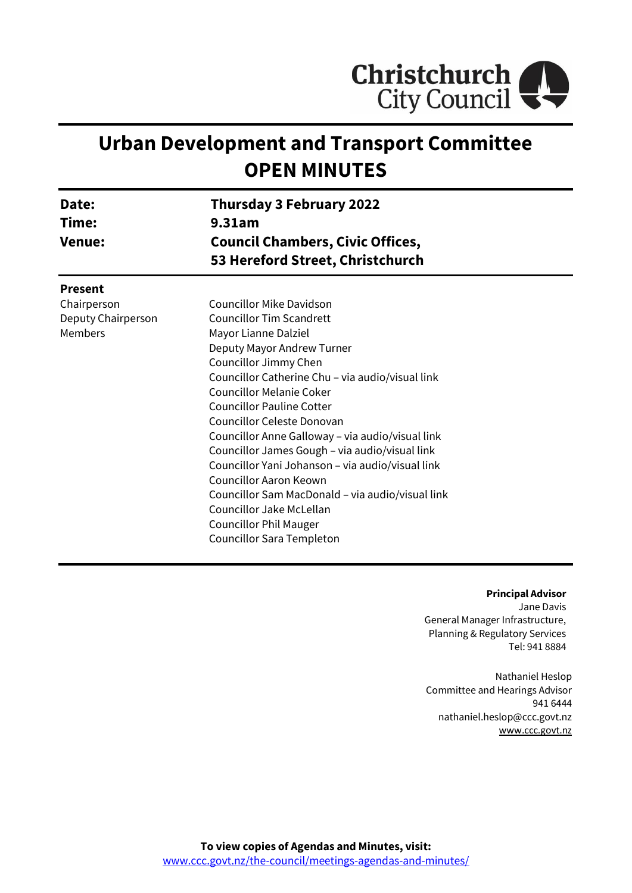

# **Urban Development and Transport Committee OPEN MINUTES**

| Date:<br>Time:<br><b>Venue:</b> | Thursday 3 February 2022<br>9.31am<br><b>Council Chambers, Civic Offices,</b><br>53 Hereford Street, Christchurch |  |
|---------------------------------|-------------------------------------------------------------------------------------------------------------------|--|
| <b>Present</b>                  |                                                                                                                   |  |
| Chairperson                     | Councillor Mike Davidson                                                                                          |  |
| Deputy Chairperson              | <b>Councillor Tim Scandrett</b>                                                                                   |  |
| Members                         | Mayor Lianne Dalziel                                                                                              |  |
|                                 | Deputy Mayor Andrew Turner                                                                                        |  |
|                                 | Councillor Jimmy Chen                                                                                             |  |
|                                 | Councillor Catherine Chu - via audio/visual link                                                                  |  |
|                                 | <b>Councillor Melanie Coker</b>                                                                                   |  |
|                                 | <b>Councillor Pauline Cotter</b>                                                                                  |  |
|                                 | Councillor Celeste Donovan                                                                                        |  |
|                                 | Councillor Anne Galloway - via audio/visual link                                                                  |  |
|                                 | Councillor James Gough - via audio/visual link                                                                    |  |
|                                 | Councillor Yani Johanson - via audio/visual link                                                                  |  |
|                                 | Councillor Aaron Keown                                                                                            |  |
|                                 | Councillor Sam MacDonald - via audio/visual link                                                                  |  |
|                                 | Councillor Jake McLellan                                                                                          |  |
|                                 | <b>Councillor Phil Mauger</b>                                                                                     |  |
|                                 | Councillor Sara Templeton                                                                                         |  |

#### **Principal Advisor**

Jane Davis General Manager Infrastructure, Planning & Regulatory Services Tel: 941 8884

Nathaniel Heslop Committee and Hearings Advisor 941 6444 nathaniel.heslop@ccc.govt.nz [www.ccc.govt.nz](http://www.ccc.govt.nz/)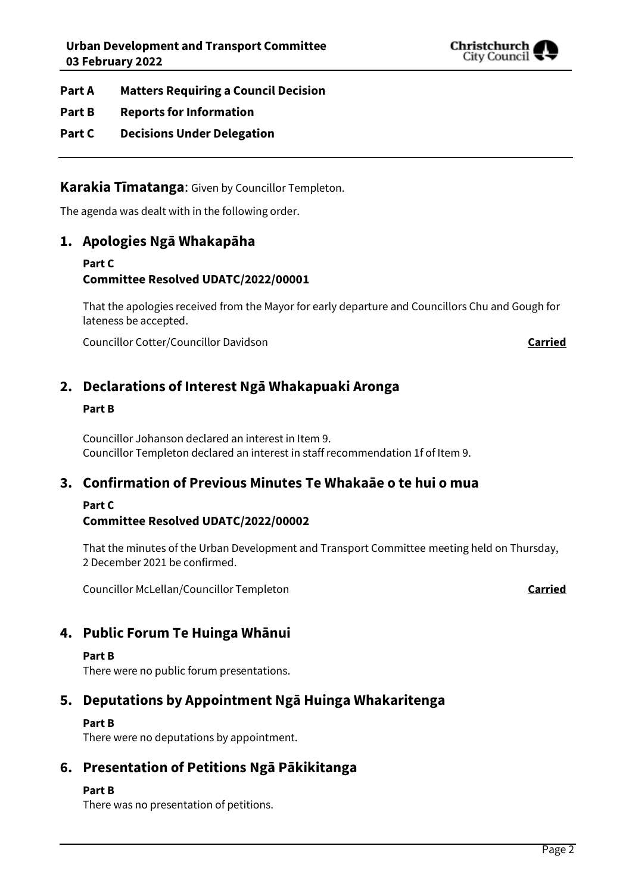

**Part A Matters Requiring a Council Decision**

- **Part B Reports for Information**
- **Part C Decisions Under Delegation**

**Karakia Tīmatanga**: Given by Councillor Templeton.

The agenda was dealt with in the following order.

# **1. Apologies Ngā Whakapāha**

## **Part C Committee Resolved UDATC/2022/00001**

That the apologies received from the Mayor for early departure and Councillors Chu and Gough for lateness be accepted.

Councillor Cotter/Councillor Davidson **Carried**

# **2. Declarations of Interest Ngā Whakapuaki Aronga**

#### **Part B**

Councillor Johanson declared an interest in Item 9. Councillor Templeton declared an interest in staff recommendation 1f of Item 9.

# **3. Confirmation of Previous Minutes Te Whakaāe o te hui o mua**

# **Part C**

## **Committee Resolved UDATC/2022/00002**

That the minutes of the Urban Development and Transport Committee meeting held on Thursday, 2 December 2021 be confirmed.

Councillor McLellan/Councillor Templeton **Carried**

# **4. Public Forum Te Huinga Whānui**

#### **Part B**

There were no public forum presentations.

# **5. Deputations by Appointment Ngā Huinga Whakaritenga**

#### **Part B**

There were no deputations by appointment.

# **6. Presentation of Petitions Ngā Pākikitanga**

#### **Part B**

There was no presentation of petitions.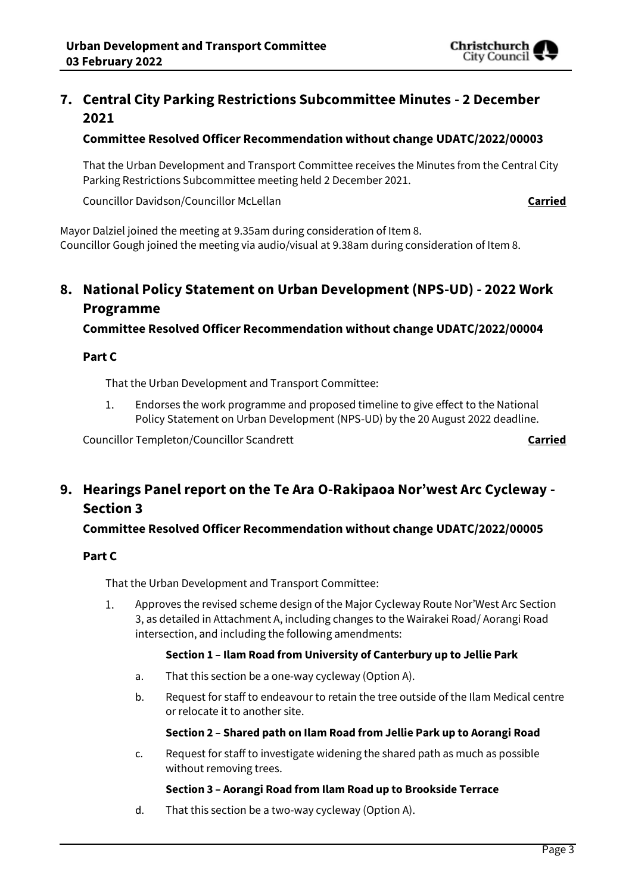

# **7. Central City Parking Restrictions Subcommittee Minutes - 2 December 2021**

### **Committee Resolved Officer Recommendation without change UDATC/2022/00003**

That the Urban Development and Transport Committee receives the Minutes from the Central City Parking Restrictions Subcommittee meeting held 2 December 2021.

Councillor Davidson/Councillor McLellan **Carried**

Mayor Dalziel joined the meeting at 9.35am during consideration of Item 8. Councillor Gough joined the meeting via audio/visual at 9.38am during consideration of Item 8.

# **8. National Policy Statement on Urban Development (NPS-UD) - 2022 Work Programme**

**Committee Resolved Officer Recommendation without change UDATC/2022/00004**

#### **Part C**

That the Urban Development and Transport Committee:

 $1.$ Endorses the work programme and proposed timeline to give effect to the National Policy Statement on Urban Development (NPS-UD) by the 20 August 2022 deadline.

Councillor Templeton/Councillor Scandrett **Carried**

# **9. Hearings Panel report on the Te Ara O-Rakipaoa Nor'west Arc Cycleway - Section 3**

## **Committee Resolved Officer Recommendation without change UDATC/2022/00005**

#### **Part C**

That the Urban Development and Transport Committee:

 $1.$ Approves the revised scheme design of the Major Cycleway Route Nor'West Arc Section 3, as detailed in Attachment A, including changes to the Wairakei Road/ Aorangi Road intersection, and including the following amendments:

#### **Section 1 – Ilam Road from University of Canterbury up to Jellie Park**

- a. That this section be a one-way cycleway (Option A).
- b. Request for staff to endeavour to retain the tree outside of the Ilam Medical centre or relocate it to another site.

#### **Section 2 – Shared path on Ilam Road from Jellie Park up to Aorangi Road**

c. Request for staff to investigate widening the shared path as much as possible without removing trees.

#### **Section 3 – Aorangi Road from Ilam Road up to Brookside Terrace**

d. That this section be a two-way cycleway (Option A).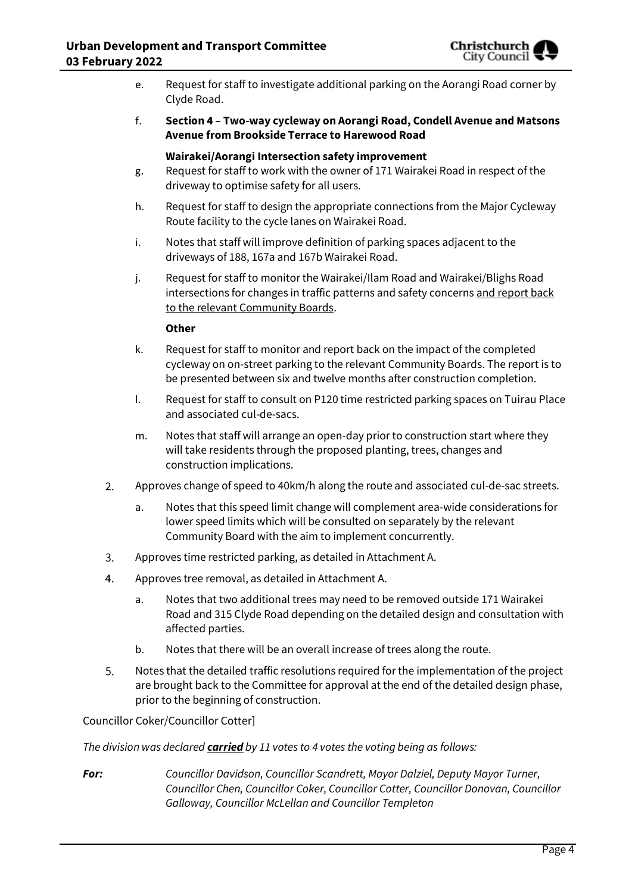

- e. Request for staff to investigate additional parking on the Aorangi Road corner by Clyde Road.
- f. **Section 4 – Two-way cycleway on Aorangi Road, Condell Avenue and Matsons Avenue from Brookside Terrace to Harewood Road**

#### **Wairakei/Aorangi Intersection safety improvement**

- g. Request for staff to work with the owner of 171 Wairakei Road in respect of the driveway to optimise safety for all users.
- h. Request for staff to design the appropriate connections from the Major Cycleway Route facility to the cycle lanes on Wairakei Road.
- i. Notes that staff will improve definition of parking spaces adjacent to the driveways of 188, 167a and 167b Wairakei Road.
- j. Request for staff to monitor the Wairakei/Ilam Road and Wairakei/Blighs Road intersections for changes in traffic patterns and safety concerns and report back to the relevant Community Boards.

#### **Other**

- k. Request for staff to monitor and report back on the impact of the completed cycleway on on-street parking to the relevant Community Boards. The report is to be presented between six and twelve months after construction completion.
- l. Request for staff to consult on P120 time restricted parking spaces on Tuirau Place and associated cul-de-sacs.
- m. Notes that staff will arrange an open-day prior to construction start where they will take residents through the proposed planting, trees, changes and construction implications.
- $2.$ Approves change of speed to 40km/h along the route and associated cul-de-sac streets.
	- a. Notes that this speed limit change will complement area-wide considerations for lower speed limits which will be consulted on separately by the relevant Community Board with the aim to implement concurrently.
- 3. Approves time restricted parking, as detailed in Attachment A.
- $4.$ Approves tree removal, as detailed in Attachment A.
	- a. Notes that two additional trees may need to be removed outside 171 Wairakei Road and 315 Clyde Road depending on the detailed design and consultation with affected parties.
	- b. Notes that there will be an overall increase of trees along the route.
- Notes that the detailed traffic resolutions required for the implementation of the project 5. are brought back to the Committee for approval at the end of the detailed design phase, prior to the beginning of construction.

#### Councillor Coker/Councillor Cotter]

*The division was declared carried by 11 votes to 4 votes the voting being as follows:*

*For: Councillor Davidson, Councillor Scandrett, Mayor Dalziel, Deputy Mayor Turner, Councillor Chen, Councillor Coker, Councillor Cotter, Councillor Donovan, Councillor Galloway, Councillor McLellan and Councillor Templeton*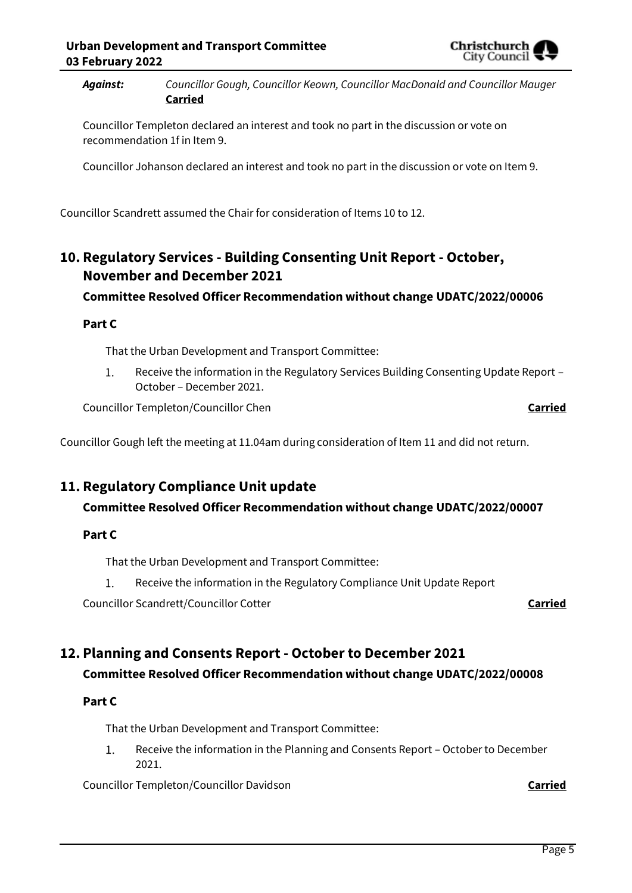Christchurcl City Counci

*Against: Councillor Gough, Councillor Keown, Councillor MacDonald and Councillor Mauger*  **Carried**

Councillor Templeton declared an interest and took no part in the discussion or vote on recommendation 1f in Item 9.

Councillor Johanson declared an interest and took no part in the discussion or vote on Item 9.

Councillor Scandrett assumed the Chair for consideration of Items 10 to 12.

# **10. Regulatory Services - Building Consenting Unit Report - October, November and December 2021**

# **Committee Resolved Officer Recommendation without change UDATC/2022/00006**

## **Part C**

That the Urban Development and Transport Committee:

1. Receive the information in the Regulatory Services Building Consenting Update Report – October – December 2021.

Councillor Templeton/Councillor Chen **Carried**

Councillor Gough left the meeting at 11.04am during consideration of Item 11 and did not return.

# **11. Regulatory Compliance Unit update**

# **Committee Resolved Officer Recommendation without change UDATC/2022/00007**

## **Part C**

That the Urban Development and Transport Committee:

1. Receive the information in the Regulatory Compliance Unit Update Report

Councillor Scandrett/Councillor Cotter **Carried**

# **12. Planning and Consents Report - October to December 2021 Committee Resolved Officer Recommendation without change UDATC/2022/00008**

## **Part C**

That the Urban Development and Transport Committee:

 $1.$ Receive the information in the Planning and Consents Report – October to December 2021.

Councillor Templeton/Councillor Davidson **Carried**